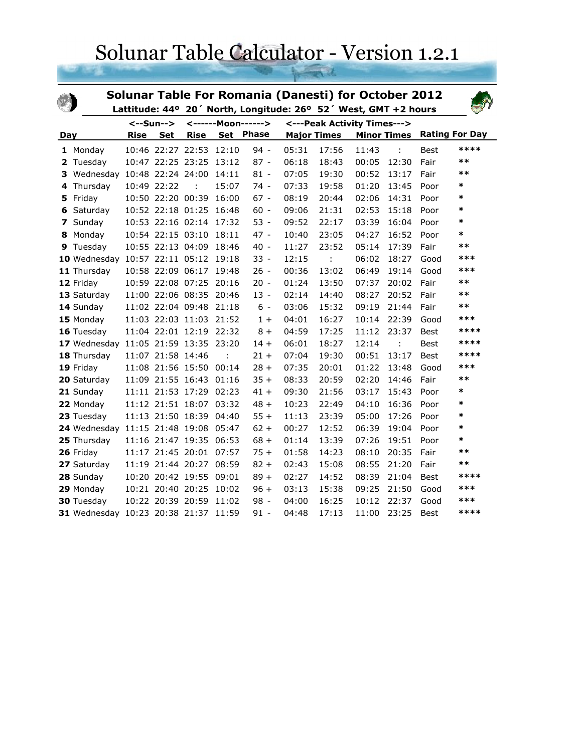## Solunar Table Calculator - Version 1.2.1

|     |                                      |             |                   |                         |                      | <b>Solunar Table For Romania (Danesti) for October 2012</b><br>Lattitude: 44° 20' North, Longitude: 26° 52' West, GMT +2 hours |       |                             |       |                    |             |                       |
|-----|--------------------------------------|-------------|-------------------|-------------------------|----------------------|--------------------------------------------------------------------------------------------------------------------------------|-------|-----------------------------|-------|--------------------|-------------|-----------------------|
|     |                                      |             | <--Sun-->         |                         | <------Moon------>   |                                                                                                                                |       | <---Peak Activity Times---> |       |                    |             |                       |
| Day |                                      | <b>Rise</b> | <b>Set</b>        | <b>Rise</b>             | Set                  | <b>Phase</b>                                                                                                                   |       | <b>Major Times</b>          |       | <b>Minor Times</b> |             | <b>Rating For Day</b> |
|     | 1 Monday                             |             |                   | 10:46 22:27 22:53       | 12:10                | $94 -$                                                                                                                         | 05:31 | 17:56                       | 11:43 | ÷                  | Best        | ****                  |
| 2   | Tuesday                              |             | 10:47 22:25 23:25 |                         | 13:12                | $87 -$                                                                                                                         | 06:18 | 18:43                       | 00:05 | 12:30              | Fair        | $**$                  |
| 3   | Wednesday 10:48 22:24 24:00          |             |                   |                         | 14:11                | $81 -$                                                                                                                         | 07:05 | 19:30                       | 00:52 | 13:17              | Fair        | $**$                  |
| 4   | Thursday                             |             | 10:49 22:22       |                         | 15:07                | $74 -$                                                                                                                         | 07:33 | 19:58                       | 01:20 | 13:45              | Poor        | *                     |
| 5   | Friday                               |             | 10:50 22:20 00:39 |                         | 16:00                | $67 -$                                                                                                                         | 08:19 | 20:44                       | 02:06 | 14:31              | Poor        | $\ast$                |
| 6   | Saturday                             |             |                   | 10:52 22:18 01:25       | 16:48                | $60 -$                                                                                                                         | 09:06 | 21:31                       | 02:53 | 15:18              | Poor        | $\ast$                |
| 7   | Sunday                               |             |                   | 10:53 22:16 02:14 17:32 |                      | $53 -$                                                                                                                         | 09:52 | 22:17                       | 03:39 | 16:04              | Poor        | *                     |
| 8   | Monday                               |             |                   | 10:54 22:15 03:10       | 18:11                | $47 -$                                                                                                                         | 10:40 | 23:05                       | 04:27 | 16:52              | Poor        | $\ast$                |
| 9   | Tuesday                              |             |                   | 10:55 22:13 04:09       | 18:46                | $40 -$                                                                                                                         | 11:27 | 23:52                       | 05:14 | 17:39              | Fair        | $***$                 |
|     | 10 Wednesday 10:57 22:11 05:12 19:18 |             |                   |                         |                      | $33 -$                                                                                                                         | 12:15 | ÷                           | 06:02 | 18:27              | Good        | ***                   |
|     | 11 Thursday                          |             |                   | 10:58 22:09 06:17 19:48 |                      | $26 -$                                                                                                                         | 00:36 | 13:02                       | 06:49 | 19:14              | Good        | ***                   |
|     | 12 Friday                            |             |                   | 10:59 22:08 07:25 20:16 |                      | $20 -$                                                                                                                         | 01:24 | 13:50                       | 07:37 | 20:02              | Fair        | $***$                 |
|     | 13 Saturday                          |             |                   | 11:00 22:06 08:35       | 20:46                | $13 -$                                                                                                                         | 02:14 | 14:40                       | 08:27 | 20:52              | Fair        | $**$                  |
|     | 14 Sunday                            |             |                   | 11:02 22:04 09:48 21:18 |                      | $6 -$                                                                                                                          | 03:06 | 15:32                       | 09:19 | 21:44              | Fair        | $***$                 |
|     | 15 Monday                            |             |                   | 11:03 22:03 11:03 21:52 |                      | $1+$                                                                                                                           | 04:01 | 16:27                       | 10:14 | 22:39              | Good        | ***                   |
|     | 16 Tuesday                           |             |                   | 11:04 22:01 12:19 22:32 |                      | $8+$                                                                                                                           | 04:59 | 17:25                       | 11:12 | 23:37              | Best        | ****                  |
|     | 17 Wednesday 11:05 21:59 13:35 23:20 |             |                   |                         |                      | $14 +$                                                                                                                         | 06:01 | 18:27                       | 12:14 | ÷                  | <b>Best</b> | ****                  |
|     | 18 Thursday                          |             | 11:07 21:58 14:46 |                         | $\ddot{\phantom{a}}$ | $21 +$                                                                                                                         | 07:04 | 19:30                       | 00:51 | 13:17              | <b>Best</b> | ****                  |
|     | 19 Friday                            |             |                   | 11:08 21:56 15:50 00:14 |                      | $28 +$                                                                                                                         | 07:35 | 20:01                       | 01:22 | 13:48              | Good        | ***                   |
|     | 20 Saturday                          |             |                   | 11:09 21:55 16:43       | 01:16                | $35 +$                                                                                                                         | 08:33 | 20:59                       | 02:20 | 14:46              | Fair        | $***$                 |
|     | 21 Sunday                            |             |                   | 11:11 21:53 17:29       | 02:23                | $41 +$                                                                                                                         | 09:30 | 21:56                       | 03:17 | 15:43              | Poor        | $\ast$                |
|     | 22 Monday                            |             |                   | 11:12 21:51 18:07 03:32 |                      | $48 +$                                                                                                                         | 10:23 | 22:49                       | 04:10 | 16:36              | Poor        | *                     |
|     | 23 Tuesday                           |             | 11:13 21:50 18:39 |                         | 04:40                | $55 +$                                                                                                                         | 11:13 | 23:39                       | 05:00 | 17:26              | Poor        | $\ast$                |
|     | 24 Wednesday 11:15 21:48 19:08       |             |                   |                         | 05:47                | $62 +$                                                                                                                         | 00:27 | 12:52                       | 06:39 | 19:04              | Poor        | *                     |
|     | 25 Thursday                          |             |                   | 11:16 21:47 19:35       | 06:53                | $68 +$                                                                                                                         | 01:14 | 13:39                       | 07:26 | 19:51              | Poor        | $\ast$                |
|     | 26 Friday                            |             |                   | 11:17 21:45 20:01       | 07:57                | $75 +$                                                                                                                         | 01:58 | 14:23                       | 08:10 | 20:35              | Fair        | $**$                  |
|     | 27 Saturday                          |             |                   | 11:19 21:44 20:27 08:59 |                      | $82 +$                                                                                                                         | 02:43 | 15:08                       | 08:55 | 21:20              | Fair        | $***$                 |
|     | 28 Sunday                            |             |                   | 10:20 20:42 19:55 09:01 |                      | $89 +$                                                                                                                         | 02:27 | 14:52                       | 08:39 | 21:04              | Best        | ****                  |
|     | 29 Monday                            |             | 10:21 20:40 20:25 |                         | 10:02                | $96 +$                                                                                                                         | 03:13 | 15:38                       | 09:25 | 21:50              | Good        | $***$                 |
|     | 30 Tuesday                           |             | 10:22 20:39 20:59 |                         | 11:02                | $98 -$                                                                                                                         | 04:00 | 16:25                       | 10:12 | 22:37              | Good        | ***                   |
|     | 31 Wednesday 10:23 20:38 21:37       |             |                   |                         | 11:59                | $91 -$                                                                                                                         | 04:48 | 17:13                       | 11:00 | 23:25              | <b>Best</b> | ****                  |